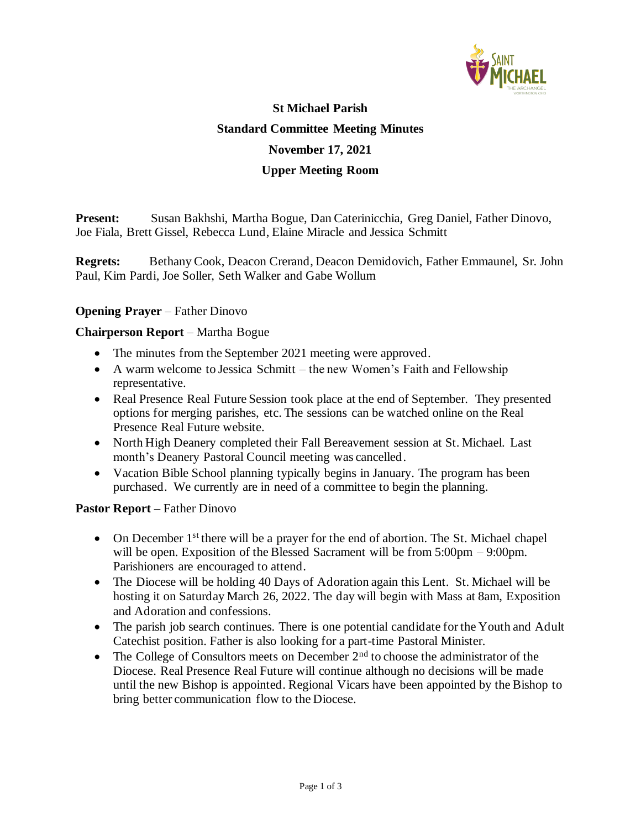

# **St Michael Parish Standard Committee Meeting Minutes November 17, 2021 Upper Meeting Room**

**Present:** Susan Bakhshi, Martha Bogue, Dan Caterinicchia, Greg Daniel, Father Dinovo, Joe Fiala, Brett Gissel, Rebecca Lund, Elaine Miracle and Jessica Schmitt

**Regrets:** Bethany Cook, Deacon Crerand, Deacon Demidovich, Father Emmaunel, Sr. John Paul, Kim Pardi, Joe Soller, Seth Walker and Gabe Wollum

### **Opening Prayer** – Father Dinovo

### **Chairperson Report** – Martha Bogue

- The minutes from the September 2021 meeting were approved.
- A warm welcome to Jessica Schmitt the new Women's Faith and Fellowship representative.
- Real Presence Real Future Session took place at the end of September. They presented options for merging parishes, etc. The sessions can be watched online on the Real Presence Real Future website.
- North High Deanery completed their Fall Bereavement session at St. Michael. Last month's Deanery Pastoral Council meeting was cancelled.
- Vacation Bible School planning typically begins in January. The program has been purchased. We currently are in need of a committee to begin the planning.

### **Pastor Report –** Father Dinovo

- On December 1<sup>st</sup> there will be a prayer for the end of abortion. The St. Michael chapel will be open. Exposition of the Blessed Sacrament will be from 5:00pm – 9:00pm. Parishioners are encouraged to attend.
- The Diocese will be holding 40 Days of Adoration again this Lent. St. Michael will be hosting it on Saturday March 26, 2022. The day will begin with Mass at 8am, Exposition and Adoration and confessions.
- The parish job search continues. There is one potential candidate for the Youth and Adult Catechist position. Father is also looking for a part-time Pastoral Minister.
- The College of Consultors meets on December  $2<sup>nd</sup>$  to choose the administrator of the Diocese. Real Presence Real Future will continue although no decisions will be made until the new Bishop is appointed. Regional Vicars have been appointed by the Bishop to bring better communication flow to the Diocese.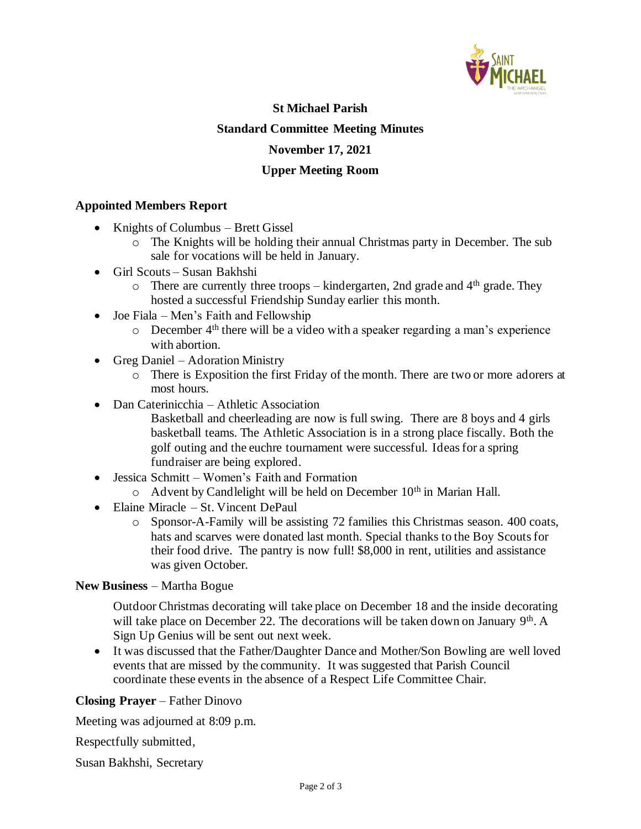

### **St Michael Parish Standard Committee Meeting Minutes November 17, 2021 Upper Meeting Room**

### **Appointed Members Report**

- Knights of Columbus Brett Gissel
	- o The Knights will be holding their annual Christmas party in December. The sub sale for vocations will be held in January.
- Girl Scouts Susan Bakhshi
	- $\circ$  There are currently three troops kindergarten, 2nd grade and 4<sup>th</sup> grade. They hosted a successful Friendship Sunday earlier this month.
- Joe Fiala Men's Faith and Fellowship
	- $\circ$  December 4<sup>th</sup> there will be a video with a speaker regarding a man's experience with abortion.
- Greg Daniel Adoration Ministry
	- o There is Exposition the first Friday of the month. There are two or more adorers at most hours.
- Dan Caterinicchia Athletic Association
	- Basketball and cheerleading are now is full swing. There are 8 boys and 4 girls basketball teams. The Athletic Association is in a strong place fiscally. Both the golf outing and the euchre tournament were successful. Ideas for a spring fundraiser are being explored.
- Jessica Schmitt Women's Faith and Formation
	- o Advent by Candlelight will be held on December 10<sup>th</sup> in Marian Hall.
- Elaine Miracle St. Vincent DePaul
	- o Sponsor-A-Family will be assisting 72 families this Christmas season. 400 coats, hats and scarves were donated last month. Special thanks to the Boy Scouts for their food drive. The pantry is now full! \$8,000 in rent, utilities and assistance was given October.

#### **New Business** – Martha Bogue

Outdoor Christmas decorating will take place on December 18 and the inside decorating will take place on December 22. The decorations will be taken down on January  $9<sup>th</sup>$ . A Sign Up Genius will be sent out next week.

• It was discussed that the Father/Daughter Dance and Mother/Son Bowling are well loved events that are missed by the community. It was suggested that Parish Council coordinate these events in the absence of a Respect Life Committee Chair.

### **Closing Prayer** – Father Dinovo

Meeting was adjourned at 8:09 p.m.

Respectfully submitted,

Susan Bakhshi, Secretary